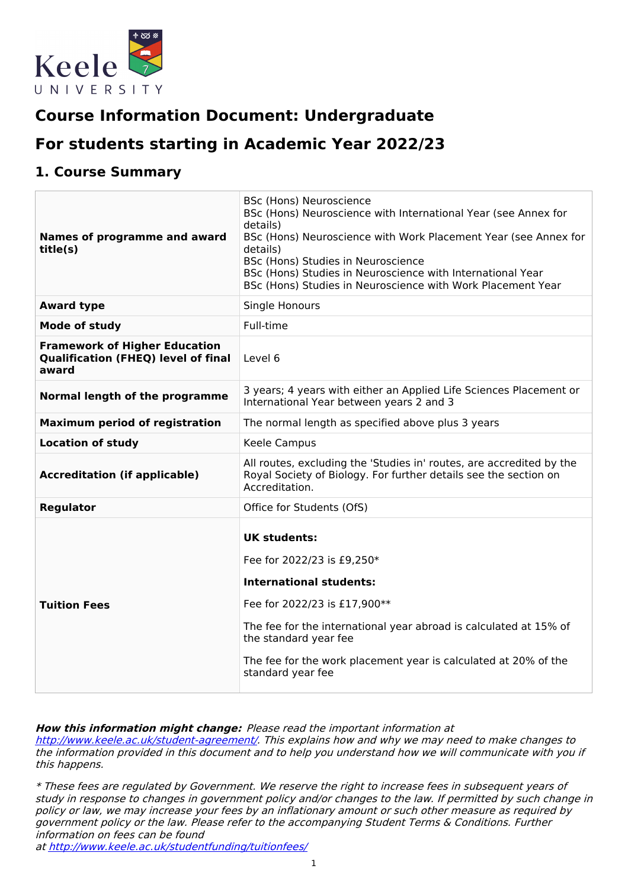

# **Course Information Document: Undergraduate**

# **For students starting in Academic Year 2022/23**

### **1. Course Summary**

| Names of programme and award<br>title(s)                                                    | BSc (Hons) Neuroscience<br>BSc (Hons) Neuroscience with International Year (see Annex for<br>details)<br>BSc (Hons) Neuroscience with Work Placement Year (see Annex for<br>details)<br>BSc (Hons) Studies in Neuroscience<br>BSc (Hons) Studies in Neuroscience with International Year<br>BSc (Hons) Studies in Neuroscience with Work Placement Year |  |  |
|---------------------------------------------------------------------------------------------|---------------------------------------------------------------------------------------------------------------------------------------------------------------------------------------------------------------------------------------------------------------------------------------------------------------------------------------------------------|--|--|
| <b>Award type</b>                                                                           | Single Honours                                                                                                                                                                                                                                                                                                                                          |  |  |
| <b>Mode of study</b>                                                                        | Full-time                                                                                                                                                                                                                                                                                                                                               |  |  |
| <b>Framework of Higher Education</b><br><b>Qualification (FHEQ) level of final</b><br>award | Level 6                                                                                                                                                                                                                                                                                                                                                 |  |  |
| Normal length of the programme                                                              | 3 years; 4 years with either an Applied Life Sciences Placement or<br>International Year between years 2 and 3                                                                                                                                                                                                                                          |  |  |
| <b>Maximum period of registration</b>                                                       | The normal length as specified above plus 3 years                                                                                                                                                                                                                                                                                                       |  |  |
| <b>Location of study</b>                                                                    | Keele Campus                                                                                                                                                                                                                                                                                                                                            |  |  |
| <b>Accreditation (if applicable)</b>                                                        | All routes, excluding the 'Studies in' routes, are accredited by the<br>Royal Society of Biology. For further details see the section on<br>Accreditation.                                                                                                                                                                                              |  |  |
| <b>Regulator</b>                                                                            | Office for Students (OfS)                                                                                                                                                                                                                                                                                                                               |  |  |
| <b>Tuition Fees</b>                                                                         | <b>UK students:</b><br>Fee for 2022/23 is £9,250*<br><b>International students:</b><br>Fee for 2022/23 is £17,900**<br>The fee for the international year abroad is calculated at 15% of<br>the standard year fee<br>The fee for the work placement year is calculated at 20% of the<br>standard year fee                                               |  |  |

**How this information might change:** Please read the important information at

<http://www.keele.ac.uk/student-agreement/>. This explains how and why we may need to make changes to the information provided in this document and to help you understand how we will communicate with you if this happens.

\* These fees are regulated by Government. We reserve the right to increase fees in subsequent years of study in response to changes in government policy and/or changes to the law. If permitted by such change in policy or law, we may increase your fees by an inflationary amount or such other measure as required by government policy or the law. Please refer to the accompanying Student Terms & Conditions. Further information on fees can be found

at <http://www.keele.ac.uk/studentfunding/tuitionfees/>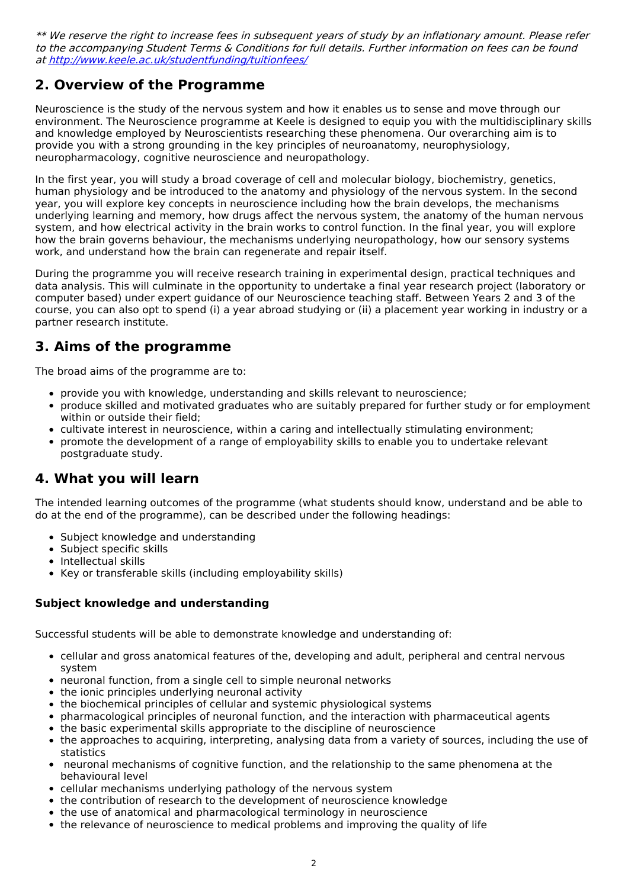\*\* We reserve the right to increase fees in subsequent years of study by an inflationary amount. Please refer to the accompanying Student Terms & Conditions for full details. Further information on fees can be found at <http://www.keele.ac.uk/studentfunding/tuitionfees/>

## **2. Overview of the Programme**

Neuroscience is the study of the nervous system and how it enables us to sense and move through our environment. The Neuroscience programme at Keele is designed to equip you with the multidisciplinary skills and knowledge employed by Neuroscientists researching these phenomena. Our overarching aim is to provide you with a strong grounding in the key principles of neuroanatomy, neurophysiology, neuropharmacology, cognitive neuroscience and neuropathology.

In the first year, you will study a broad coverage of cell and molecular biology, biochemistry, genetics, human physiology and be introduced to the anatomy and physiology of the nervous system. In the second year, you will explore key concepts in neuroscience including how the brain develops, the mechanisms underlying learning and memory, how drugs affect the nervous system, the anatomy of the human nervous system, and how electrical activity in the brain works to control function. In the final year, you will explore how the brain governs behaviour, the mechanisms underlying neuropathology, how our sensory systems work, and understand how the brain can regenerate and repair itself.

During the programme you will receive research training in experimental design, practical techniques and data analysis. This will culminate in the opportunity to undertake a final year research project (laboratory or computer based) under expert guidance of our Neuroscience teaching staff. Between Years 2 and 3 of the course, you can also opt to spend (i) a year abroad studying or (ii) a placement year working in industry or a partner research institute.

## **3. Aims of the programme**

The broad aims of the programme are to:

- provide you with knowledge, understanding and skills relevant to neuroscience;
- produce skilled and motivated graduates who are suitably prepared for further study or for employment within or outside their field;
- cultivate interest in neuroscience, within a caring and intellectually stimulating environment;
- promote the development of a range of employability skills to enable you to undertake relevant postgraduate study.

### **4. What you will learn**

The intended learning outcomes of the programme (what students should know, understand and be able to do at the end of the programme), can be described under the following headings:

- Subject knowledge and understanding
- Subject specific skills
- Intellectual skills
- Key or transferable skills (including employability skills)

#### **Subject knowledge and understanding**

Successful students will be able to demonstrate knowledge and understanding of:

- cellular and gross anatomical features of the, developing and adult, peripheral and central nervous system
- neuronal function, from a single cell to simple neuronal networks
- the ionic principles underlying neuronal activity
- the biochemical principles of cellular and systemic physiological systems
- pharmacological principles of neuronal function, and the interaction with pharmaceutical agents
- the basic experimental skills appropriate to the discipline of neuroscience
- the approaches to acquiring, interpreting, analysing data from a variety of sources, including the use of statistics
- neuronal mechanisms of cognitive function, and the relationship to the same phenomena at the behavioural level
- cellular mechanisms underlying pathology of the nervous system
- the contribution of research to the development of neuroscience knowledge
- the use of anatomical and pharmacological terminology in neuroscience
- the relevance of neuroscience to medical problems and improving the quality of life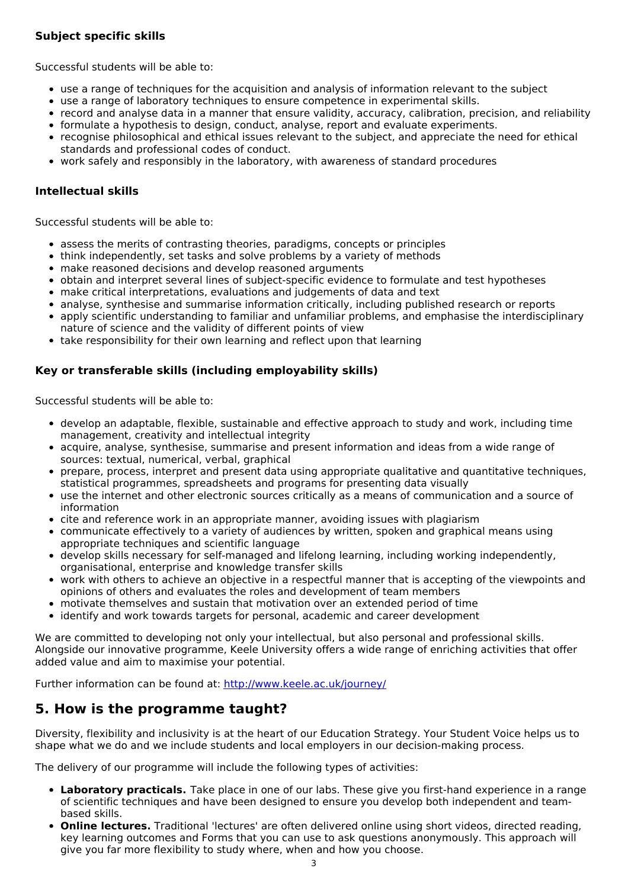#### **Subject specific skills**

Successful students will be able to:

- use a range of techniques for the acquisition and analysis of information relevant to the subject
- use a range of laboratory techniques to ensure competence in experimental skills.
- record and analyse data in a manner that ensure validity, accuracy, calibration, precision, and reliability
- formulate a hypothesis to design, conduct, analyse, report and evaluate experiments.
- recognise philosophical and ethical issues relevant to the subject, and appreciate the need for ethical standards and professional codes of conduct.
- work safely and responsibly in the laboratory, with awareness of standard procedures

#### **Intellectual skills**

Successful students will be able to:

- assess the merits of contrasting theories, paradigms, concepts or principles
- think independently, set tasks and solve problems by a variety of methods
- make reasoned decisions and develop reasoned arguments
- obtain and interpret several lines of subject-specific evidence to formulate and test hypotheses
- make critical interpretations, evaluations and judgements of data and text
- analyse, synthesise and summarise information critically, including published research or reports
- apply scientific understanding to familiar and unfamiliar problems, and emphasise the interdisciplinary nature of science and the validity of different points of view
- take responsibility for their own learning and reflect upon that learning

#### **Key or transferable skills (including employability skills)**

Successful students will be able to:

- develop an adaptable, flexible, sustainable and effective approach to study and work, including time management, creativity and intellectual integrity
- acquire, analyse, synthesise, summarise and present information and ideas from a wide range of sources: textual, numerical, verbal, graphical
- prepare, process, interpret and present data using appropriate qualitative and quantitative techniques, statistical programmes, spreadsheets and programs for presenting data visually
- use the internet and other electronic sources critically as a means of communication and a source of information
- cite and reference work in an appropriate manner, avoiding issues with plagiarism
- communicate effectively to a variety of audiences by written, spoken and graphical means using appropriate techniques and scientific language
- develop skills necessary for self-managed and lifelong learning, including working independently, organisational, enterprise and knowledge transfer skills
- work with others to achieve an objective in a respectful manner that is accepting of the viewpoints and opinions of others and evaluates the roles and development of team members
- motivate themselves and sustain that motivation over an extended period of time
- identify and work towards targets for personal, academic and career development

We are committed to developing not only your intellectual, but also personal and professional skills. Alongside our innovative programme, Keele University offers a wide range of enriching activities that offer added value and aim to maximise your potential.

Further information can be found at: <http://www.keele.ac.uk/journey/>

## **5. How is the programme taught?**

Diversity, flexibility and inclusivity is at the heart of our Education Strategy. Your Student Voice helps us to shape what we do and we include students and local employers in our decision-making process.

The delivery of our programme will include the following types of activities:

- **Laboratory practicals.** Take place in one of our labs. These give you first-hand experience in a range of scientific techniques and have been designed to ensure you develop both independent and teambased skills.
- **Online lectures.** Traditional 'lectures' are often delivered online using short videos, directed reading, key learning outcomes and Forms that you can use to ask questions anonymously. This approach will give you far more flexibility to study where, when and how you choose.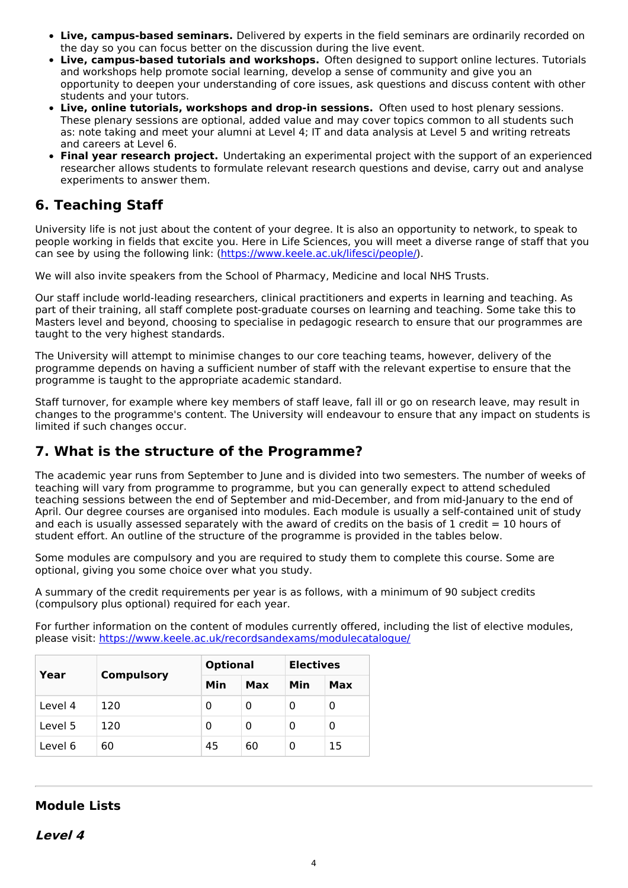- **Live, campus-based seminars.** Delivered by experts in the field seminars are ordinarily recorded on the day so you can focus better on the discussion during the live event.
- **Live, campus-based tutorials and workshops.** Often designed to support online lectures. Tutorials and workshops help promote social learning, develop a sense of community and give you an opportunity to deepen your understanding of core issues, ask questions and discuss content with other students and your tutors.
- **Live, online tutorials, workshops and drop-in sessions.** Often used to host plenary sessions. These plenary sessions are optional, added value and may cover topics common to all students such as: note taking and meet your alumni at Level 4; IT and data analysis at Level 5 and writing retreats and careers at Level 6.
- **Final year research project.** Undertaking an experimental project with the support of an experienced researcher allows students to formulate relevant research questions and devise, carry out and analyse experiments to answer them.

## **6. Teaching Staff**

University life is not just about the content of your degree. It is also an opportunity to network, to speak to people working in fields that excite you. Here in Life Sciences, you will meet a diverse range of staff that you can see by using the following link: [\(https://www.keele.ac.uk/lifesci/people/](https://www.keele.ac.uk/lifesci/people/)).

We will also invite speakers from the School of Pharmacy, Medicine and local NHS Trusts.

Our staff include world-leading researchers, clinical practitioners and experts in learning and teaching. As part of their training, all staff complete post-graduate courses on learning and teaching. Some take this to Masters level and beyond, choosing to specialise in pedagogic research to ensure that our programmes are taught to the very highest standards.

The University will attempt to minimise changes to our core teaching teams, however, delivery of the programme depends on having a sufficient number of staff with the relevant expertise to ensure that the programme is taught to the appropriate academic standard.

Staff turnover, for example where key members of staff leave, fall ill or go on research leave, may result in changes to the programme's content. The University will endeavour to ensure that any impact on students is limited if such changes occur.

## **7. What is the structure of the Programme?**

The academic year runs from September to June and is divided into two semesters. The number of weeks of teaching will vary from programme to programme, but you can generally expect to attend scheduled teaching sessions between the end of September and mid-December, and from mid-January to the end of April. Our degree courses are organised into modules. Each module is usually a self-contained unit of study and each is usually assessed separately with the award of credits on the basis of 1 credit  $= 10$  hours of student effort. An outline of the structure of the programme is provided in the tables below.

Some modules are compulsory and you are required to study them to complete this course. Some are optional, giving you some choice over what you study.

A summary of the credit requirements per year is as follows, with a minimum of 90 subject credits (compulsory plus optional) required for each year.

For further information on the content of modules currently offered, including the list of elective modules, please visit: <https://www.keele.ac.uk/recordsandexams/modulecatalogue/>

| Year    |                   | <b>Optional</b> |     | <b>Electives</b> |    |
|---------|-------------------|-----------------|-----|------------------|----|
|         | <b>Compulsory</b> | Min<br>Max      | Min | Max              |    |
| Level 4 | 120               | 0               | 0   |                  | 0  |
| Level 5 | 120               | 0               | 0   |                  | 0  |
| Level 6 | 60                | 45              | 60  |                  | 15 |

### **Module Lists**

**Level 4**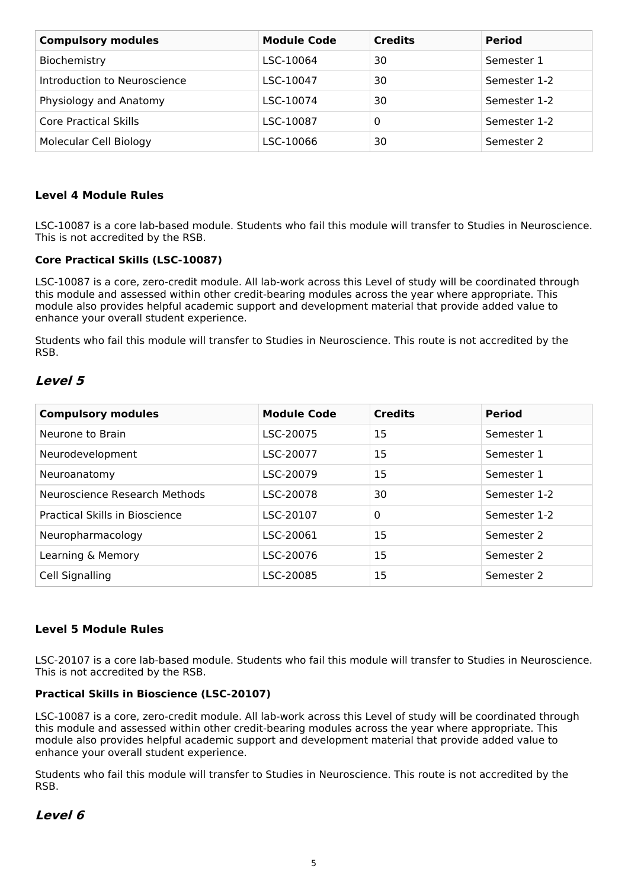| <b>Compulsory modules</b>    | <b>Module Code</b> | <b>Credits</b> | <b>Period</b> |
|------------------------------|--------------------|----------------|---------------|
| Biochemistry                 | LSC-10064          | 30             | Semester 1    |
| Introduction to Neuroscience | LSC-10047          | 30             | Semester 1-2  |
| Physiology and Anatomy       | LSC-10074          | 30             | Semester 1-2  |
| Core Practical Skills        | LSC-10087          | 0              | Semester 1-2  |
| Molecular Cell Biology       | LSC-10066          | 30             | Semester 2    |

#### **Level 4 Module Rules**

LSC-10087 is a core lab-based module. Students who fail this module will transfer to Studies in Neuroscience. This is not accredited by the RSB.

#### **Core Practical Skills (LSC-10087)**

LSC-10087 is a core, zero-credit module. All lab-work across this Level of study will be coordinated through this module and assessed within other credit-bearing modules across the year where appropriate. This module also provides helpful academic support and development material that provide added value to enhance your overall student experience.

Students who fail this module will transfer to Studies in Neuroscience. This route is not accredited by the RSB.

#### **Level 5**

| <b>Compulsory modules</b>      | <b>Module Code</b> | <b>Credits</b> | <b>Period</b> |
|--------------------------------|--------------------|----------------|---------------|
| Neurone to Brain               | LSC-20075          | 15             | Semester 1    |
| Neurodevelopment               | LSC-20077          | 15             | Semester 1    |
| Neuroanatomy                   | LSC-20079          | 15             | Semester 1    |
| Neuroscience Research Methods  | LSC-20078          | 30             | Semester 1-2  |
| Practical Skills in Bioscience | LSC-20107          | $\mathbf 0$    | Semester 1-2  |
| Neuropharmacology              | LSC-20061          | 15             | Semester 2    |
| Learning & Memory              | LSC-20076          | 15             | Semester 2    |
| Cell Signalling                | LSC-20085          | 15             | Semester 2    |

#### **Level 5 Module Rules**

LSC-20107 is a core lab-based module. Students who fail this module will transfer to Studies in Neuroscience. This is not accredited by the RSB.

#### **Practical Skills in Bioscience (LSC-20107)**

LSC-10087 is a core, zero-credit module. All lab-work across this Level of study will be coordinated through this module and assessed within other credit-bearing modules across the year where appropriate. This module also provides helpful academic support and development material that provide added value to enhance your overall student experience.

Students who fail this module will transfer to Studies in Neuroscience. This route is not accredited by the RSB.

#### **Level 6**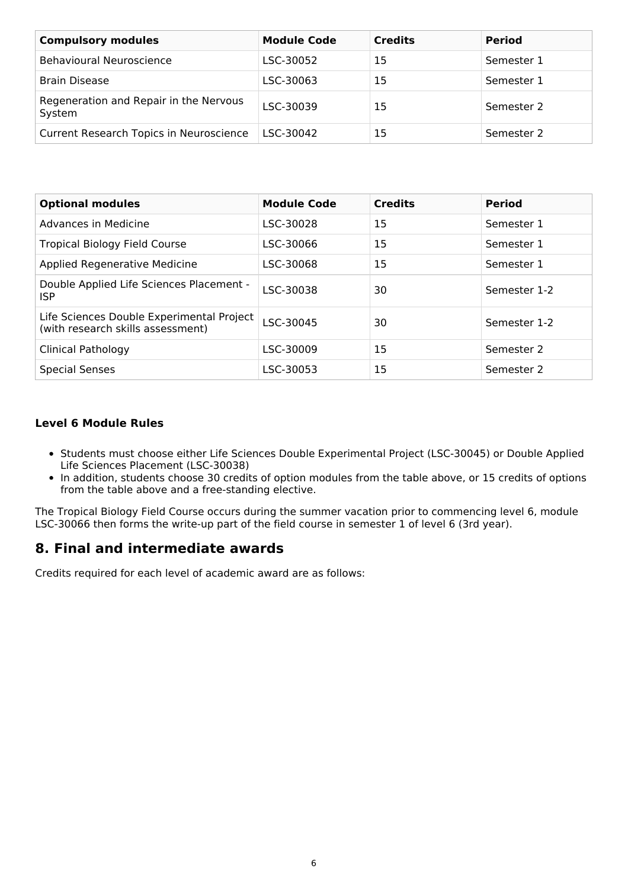| <b>Compulsory modules</b>                        | <b>Module Code</b> | <b>Credits</b> | <b>Period</b> |
|--------------------------------------------------|--------------------|----------------|---------------|
| Behavioural Neuroscience                         | LSC-30052          | 15             | Semester 1    |
| <b>Brain Disease</b>                             | LSC-30063          | 15             | Semester 1    |
| Regeneration and Repair in the Nervous<br>System | LSC-30039          | 15             | Semester 2    |
| Current Research Topics in Neuroscience          | LSC-30042          | 15             | Semester 2    |

| <b>Optional modules</b>                                                        | <b>Module Code</b> | <b>Credits</b> | <b>Period</b> |
|--------------------------------------------------------------------------------|--------------------|----------------|---------------|
| Advances in Medicine                                                           | LSC-30028          | 15             | Semester 1    |
| <b>Tropical Biology Field Course</b>                                           | LSC-30066          | 15             | Semester 1    |
| <b>Applied Regenerative Medicine</b>                                           | LSC-30068          | 15             | Semester 1    |
| Double Applied Life Sciences Placement -<br>ISP.                               | LSC-30038          | 30             | Semester 1-2  |
| Life Sciences Double Experimental Project<br>(with research skills assessment) | LSC-30045          | 30             | Semester 1-2  |
| <b>Clinical Pathology</b>                                                      | LSC-30009          | 15             | Semester 2    |
| <b>Special Senses</b>                                                          | LSC-30053          | 15             | Semester 2    |

#### **Level 6 Module Rules**

- Students must choose either Life Sciences Double Experimental Project (LSC-30045) or Double Applied Life Sciences Placement (LSC-30038)
- In addition, students choose 30 credits of option modules from the table above, or 15 credits of options from the table above and a free-standing elective.

The Tropical Biology Field Course occurs during the summer vacation prior to commencing level 6, module LSC-30066 then forms the write-up part of the field course in semester 1 of level 6 (3rd year).

### **8. Final and intermediate awards**

Credits required for each level of academic award are as follows: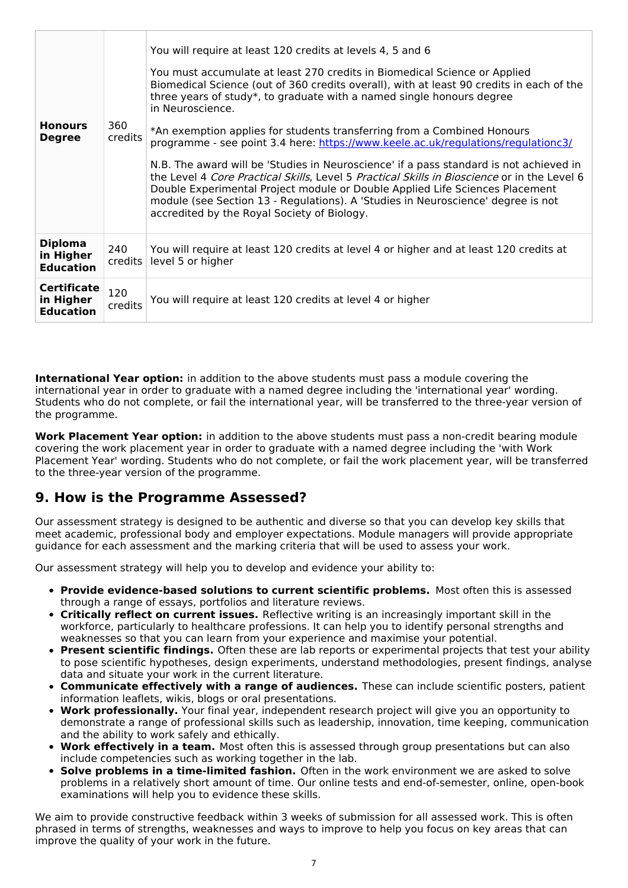| <b>Honours</b><br><b>Degree</b>                     | 360<br>credits | You will require at least 120 credits at levels 4, 5 and 6<br>You must accumulate at least 270 credits in Biomedical Science or Applied<br>Biomedical Science (out of 360 credits overall), with at least 90 credits in each of the<br>three years of study*, to graduate with a named single honours degree<br>in Neuroscience.<br>*An exemption applies for students transferring from a Combined Honours<br>programme - see point 3.4 here: https://www.keele.ac.uk/regulations/regulationc3/<br>N.B. The award will be 'Studies in Neuroscience' if a pass standard is not achieved in<br>the Level 4 Core Practical Skills, Level 5 Practical Skills in Bioscience or in the Level 6<br>Double Experimental Project module or Double Applied Life Sciences Placement<br>module (see Section 13 - Regulations). A 'Studies in Neuroscience' degree is not<br>accredited by the Royal Society of Biology. |
|-----------------------------------------------------|----------------|--------------------------------------------------------------------------------------------------------------------------------------------------------------------------------------------------------------------------------------------------------------------------------------------------------------------------------------------------------------------------------------------------------------------------------------------------------------------------------------------------------------------------------------------------------------------------------------------------------------------------------------------------------------------------------------------------------------------------------------------------------------------------------------------------------------------------------------------------------------------------------------------------------------|
| <b>Diploma</b><br>in Higher<br><b>Education</b>     | 240<br>credits | You will require at least 120 credits at level 4 or higher and at least 120 credits at<br>level 5 or higher                                                                                                                                                                                                                                                                                                                                                                                                                                                                                                                                                                                                                                                                                                                                                                                                  |
| <b>Certificate</b><br>in Higher<br><b>Education</b> | 120<br>credits | You will require at least 120 credits at level 4 or higher                                                                                                                                                                                                                                                                                                                                                                                                                                                                                                                                                                                                                                                                                                                                                                                                                                                   |

**International Year option:** in addition to the above students must pass a module covering the international year in order to graduate with a named degree including the 'international year' wording. Students who do not complete, or fail the international year, will be transferred to the three-year version of the programme.

**Work Placement Year option:** in addition to the above students must pass a non-credit bearing module covering the work placement year in order to graduate with a named degree including the 'with Work Placement Year' wording. Students who do not complete, or fail the work placement year, will be transferred to the three-year version of the programme.

### **9. How is the Programme Assessed?**

Our assessment strategy is designed to be authentic and diverse so that you can develop key skills that meet academic, professional body and employer expectations. Module managers will provide appropriate guidance for each assessment and the marking criteria that will be used to assess your work.

Our assessment strategy will help you to develop and evidence your ability to:

- **Provide evidence-based solutions to current scientific problems.** Most often this is assessed through a range of essays, portfolios and literature reviews.
- **Critically reflect on current issues.** Reflective writing is an increasingly important skill in the workforce, particularly to healthcare professions. It can help you to identify personal strengths and weaknesses so that you can learn from your experience and maximise your potential.
- **Present scientific findings.** Often these are lab reports or experimental projects that test your ability to pose scientific hypotheses, design experiments, understand methodologies, present findings, analyse data and situate your work in the current literature.
- **Communicate effectively with a range of audiences.** These can include scientific posters, patient information leaflets, wikis, blogs or oral presentations.
- **Work professionally.** Your final year, independent research project will give you an opportunity to demonstrate a range of professional skills such as leadership, innovation, time keeping, communication and the ability to work safely and ethically.
- **Work effectively in a team.** Most often this is assessed through group presentations but can also include competencies such as working together in the lab.
- **Solve problems in a time-limited fashion.** Often in the work environment we are asked to solve problems in a relatively short amount of time. Our online tests and end-of-semester, online, open-book examinations will help you to evidence these skills.

We aim to provide constructive feedback within 3 weeks of submission for all assessed work. This is often phrased in terms of strengths, weaknesses and ways to improve to help you focus on key areas that can improve the quality of your work in the future.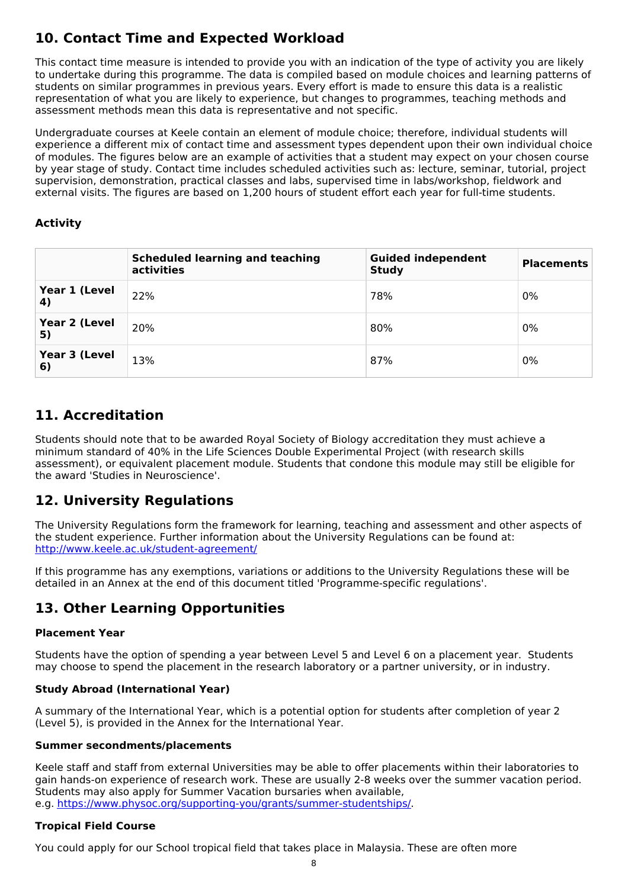## **10. Contact Time and Expected Workload**

This contact time measure is intended to provide you with an indication of the type of activity you are likely to undertake during this programme. The data is compiled based on module choices and learning patterns of students on similar programmes in previous years. Every effort is made to ensure this data is a realistic representation of what you are likely to experience, but changes to programmes, teaching methods and assessment methods mean this data is representative and not specific.

Undergraduate courses at Keele contain an element of module choice; therefore, individual students will experience a different mix of contact time and assessment types dependent upon their own individual choice of modules. The figures below are an example of activities that a student may expect on your chosen course by year stage of study. Contact time includes scheduled activities such as: lecture, seminar, tutorial, project supervision, demonstration, practical classes and labs, supervised time in labs/workshop, fieldwork and external visits. The figures are based on 1,200 hours of student effort each year for full-time students.

### **Activity**

|                     | <b>Scheduled learning and teaching</b><br>activities | <b>Guided independent</b><br><b>Study</b> | <b>Placements</b> |
|---------------------|------------------------------------------------------|-------------------------------------------|-------------------|
| Year 1 (Level<br>4) | 22%                                                  | 78%                                       | 0%                |
| Year 2 (Level<br>5) | 20%                                                  | 80%                                       | 0%                |
| Year 3 (Level<br>6) | 13%                                                  | 87%                                       | 0%                |

## **11. Accreditation**

Students should note that to be awarded Royal Society of Biology accreditation they must achieve a minimum standard of 40% in the Life Sciences Double Experimental Project (with research skills assessment), or equivalent placement module. Students that condone this module may still be eligible for the award 'Studies in Neuroscience'.

## **12. University Regulations**

The University Regulations form the framework for learning, teaching and assessment and other aspects of the student experience. Further information about the University Regulations can be found at: <http://www.keele.ac.uk/student-agreement/>

If this programme has any exemptions, variations or additions to the University Regulations these will be detailed in an Annex at the end of this document titled 'Programme-specific regulations'.

## **13. Other Learning Opportunities**

#### **Placement Year**

Students have the option of spending a year between Level 5 and Level 6 on a placement year. Students may choose to spend the placement in the research laboratory or a partner university, or in industry.

#### **Study Abroad (International Year)**

A summary of the International Year, which is a potential option for students after completion of year 2 (Level 5), is provided in the Annex for the International Year.

#### **Summer secondments/placements**

Keele staff and staff from external Universities may be able to offer placements within their laboratories to gain hands-on experience of research work. These are usually 2-8 weeks over the summer vacation period. Students may also apply for Summer Vacation bursaries when available, e.g. <https://www.physoc.org/supporting-you/grants/summer-studentships/>.

#### **Tropical Field Course**

You could apply for our School tropical field that takes place in Malaysia. These are often more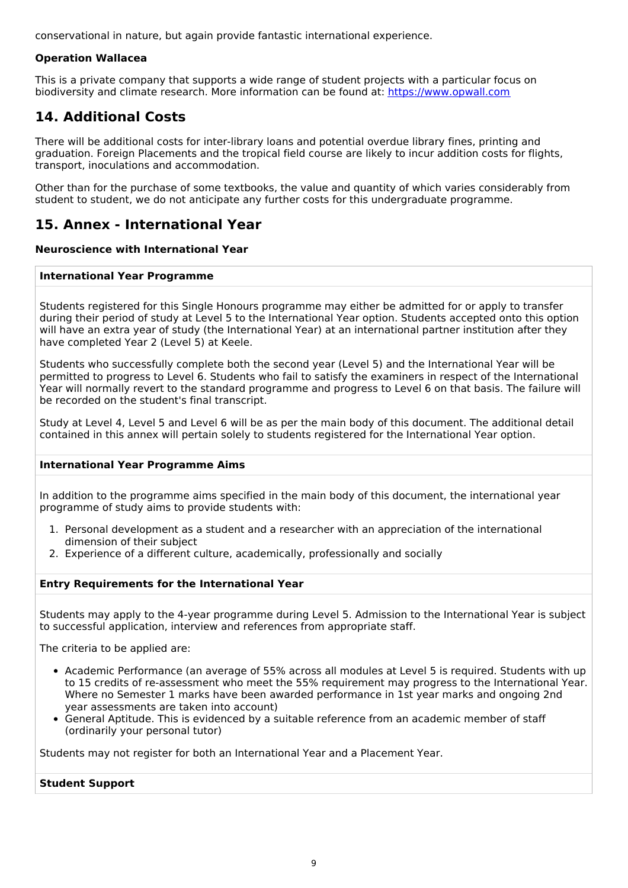conservational in nature, but again provide fantastic international experience.

#### **Operation Wallacea**

This is a private company that supports a wide range of student projects with a particular focus on biodiversity and climate research. More information can be found at: <https://www.opwall.com>

## **14. Additional Costs**

There will be additional costs for inter-library loans and potential overdue library fines, printing and graduation. Foreign Placements and the tropical field course are likely to incur addition costs for flights, transport, inoculations and accommodation.

Other than for the purchase of some textbooks, the value and quantity of which varies considerably from student to student, we do not anticipate any further costs for this undergraduate programme.

### **15. Annex - International Year**

#### **Neuroscience with International Year**

#### **International Year Programme**

Students registered for this Single Honours programme may either be admitted for or apply to transfer during their period of study at Level 5 to the International Year option. Students accepted onto this option will have an extra year of study (the International Year) at an international partner institution after they have completed Year 2 (Level 5) at Keele.

Students who successfully complete both the second year (Level 5) and the International Year will be permitted to progress to Level 6. Students who fail to satisfy the examiners in respect of the International Year will normally revert to the standard programme and progress to Level 6 on that basis. The failure will be recorded on the student's final transcript.

Study at Level 4, Level 5 and Level 6 will be as per the main body of this document. The additional detail contained in this annex will pertain solely to students registered for the International Year option.

#### **International Year Programme Aims**

In addition to the programme aims specified in the main body of this document, the international year programme of study aims to provide students with:

- 1. Personal development as a student and a researcher with an appreciation of the international dimension of their subject
- 2. Experience of a different culture, academically, professionally and socially

#### **Entry Requirements for the International Year**

Students may apply to the 4-year programme during Level 5. Admission to the International Year is subject to successful application, interview and references from appropriate staff.

The criteria to be applied are:

- Academic Performance (an average of 55% across all modules at Level 5 is required. Students with up to 15 credits of re-assessment who meet the 55% requirement may progress to the International Year. Where no Semester 1 marks have been awarded performance in 1st year marks and ongoing 2nd year assessments are taken into account)
- General Aptitude. This is evidenced by a suitable reference from an academic member of staff (ordinarily your personal tutor)

Students may not register for both an International Year and a Placement Year.

#### **Student Support**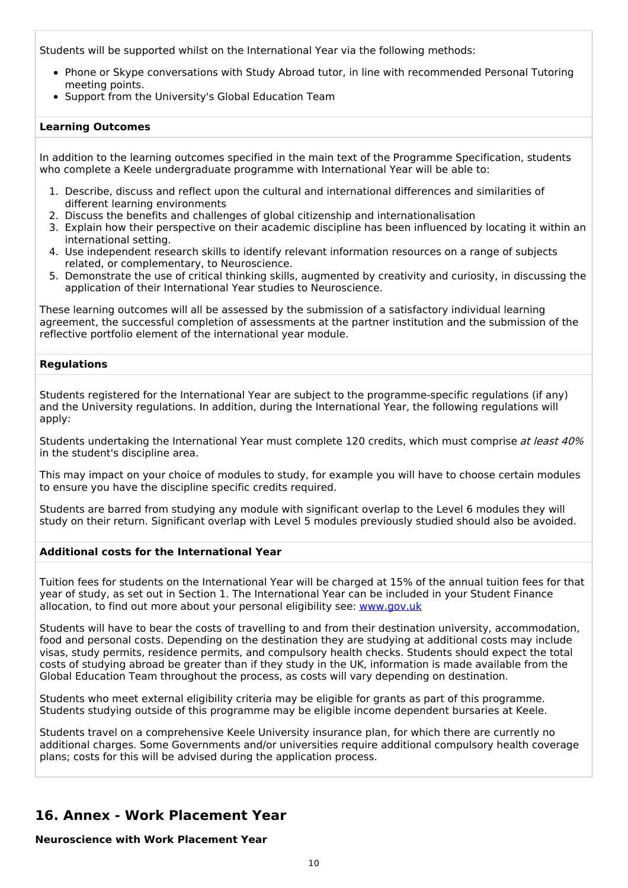Students will be supported whilst on the International Year via the following methods:

- Phone or Skype conversations with Study Abroad tutor, in line with recommended Personal Tutoring meeting points.
- Support from the University's Global Education Team

#### **Learning Outcomes**

In addition to the learning outcomes specified in the main text of the Programme Specification, students who complete a Keele undergraduate programme with International Year will be able to:

- 1. Describe, discuss and reflect upon the cultural and international differences and similarities of different learning environments
- 2. Discuss the benefits and challenges of global citizenship and internationalisation
- 3. Explain how their perspective on their academic discipline has been influenced by locating it within an international setting.
- 4. Use independent research skills to identify relevant information resources on a range of subjects related, or complementary, to Neuroscience.
- 5. Demonstrate the use of critical thinking skills, augmented by creativity and curiosity, in discussing the application of their International Year studies to Neuroscience.

These learning outcomes will all be assessed by the submission of a satisfactory individual learning agreement, the successful completion of assessments at the partner institution and the submission of the reflective portfolio element of the international year module.

#### **Regulations**

Students registered for the International Year are subject to the programme-specific regulations (if any) and the University regulations. In addition, during the International Year, the following regulations will apply:

Students undertaking the International Year must complete 120 credits, which must comprise at least 40% in the student's discipline area.

This may impact on your choice of modules to study, for example you will have to choose certain modules to ensure you have the discipline specific credits required.

Students are barred from studying any module with significant overlap to the Level 6 modules they will study on their return. Significant overlap with Level 5 modules previously studied should also be avoided.

#### **Additional costs for the International Year**

Tuition fees for students on the International Year will be charged at 15% of the annual tuition fees for that year of study, as set out in Section 1. The International Year can be included in your Student Finance allocation, to find out more about your personal eligibility see: [www.gov.uk](http://www.gov.uk/)

Students will have to bear the costs of travelling to and from their destination university, accommodation, food and personal costs. Depending on the destination they are studying at additional costs may include visas, study permits, residence permits, and compulsory health checks. Students should expect the total costs of studying abroad be greater than if they study in the UK, information is made available from the Global Education Team throughout the process, as costs will vary depending on destination.

Students who meet external eligibility criteria may be eligible for grants as part of this programme. Students studying outside of this programme may be eligible income dependent bursaries at Keele.

Students travel on a comprehensive Keele University insurance plan, for which there are currently no additional charges. Some Governments and/or universities require additional compulsory health coverage plans; costs for this will be advised during the application process.

### **16. Annex - Work Placement Year**

**Neuroscience with Work Placement Year**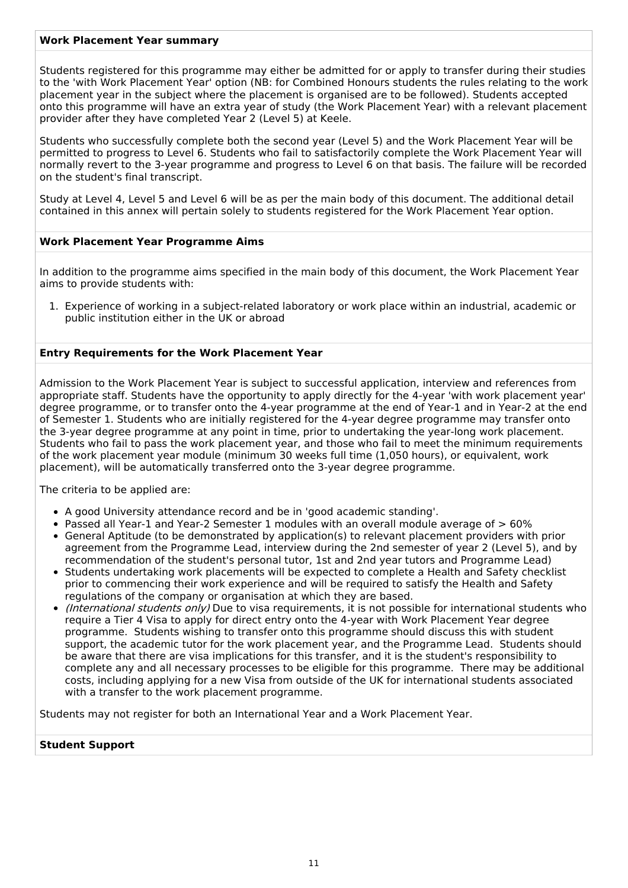#### **Work Placement Year summary**

Students registered for this programme may either be admitted for or apply to transfer during their studies to the 'with Work Placement Year' option (NB: for Combined Honours students the rules relating to the work placement year in the subject where the placement is organised are to be followed). Students accepted onto this programme will have an extra year of study (the Work Placement Year) with a relevant placement provider after they have completed Year 2 (Level 5) at Keele.

Students who successfully complete both the second year (Level 5) and the Work Placement Year will be permitted to progress to Level 6. Students who fail to satisfactorily complete the Work Placement Year will normally revert to the 3-year programme and progress to Level 6 on that basis. The failure will be recorded on the student's final transcript.

Study at Level 4, Level 5 and Level 6 will be as per the main body of this document. The additional detail contained in this annex will pertain solely to students registered for the Work Placement Year option.

#### **Work Placement Year Programme Aims**

In addition to the programme aims specified in the main body of this document, the Work Placement Year aims to provide students with:

1. Experience of working in a subject-related laboratory or work place within an industrial, academic or public institution either in the UK or abroad

#### **Entry Requirements for the Work Placement Year**

Admission to the Work Placement Year is subject to successful application, interview and references from appropriate staff. Students have the opportunity to apply directly for the 4-year 'with work placement year' degree programme, or to transfer onto the 4-year programme at the end of Year-1 and in Year-2 at the end of Semester 1. Students who are initially registered for the 4-year degree programme may transfer onto the 3-year degree programme at any point in time, prior to undertaking the year-long work placement. Students who fail to pass the work placement year, and those who fail to meet the minimum requirements of the work placement year module (minimum 30 weeks full time (1,050 hours), or equivalent, work placement), will be automatically transferred onto the 3-year degree programme.

The criteria to be applied are:

- A good University attendance record and be in 'good academic standing'.
- Passed all Year-1 and Year-2 Semester 1 modules with an overall module average of > 60%
- General Aptitude (to be demonstrated by application(s) to relevant placement providers with prior agreement from the Programme Lead, interview during the 2nd semester of year 2 (Level 5), and by recommendation of the student's personal tutor, 1st and 2nd year tutors and Programme Lead)
- Students undertaking work placements will be expected to complete a Health and Safety checklist prior to commencing their work experience and will be required to satisfy the Health and Safety regulations of the company or organisation at which they are based.
- (International students only) Due to visa requirements, it is not possible for international students who require a Tier 4 Visa to apply for direct entry onto the 4-year with Work Placement Year degree programme. Students wishing to transfer onto this programme should discuss this with student support, the academic tutor for the work placement year, and the Programme Lead. Students should be aware that there are visa implications for this transfer, and it is the student's responsibility to complete any and all necessary processes to be eligible for this programme. There may be additional costs, including applying for a new Visa from outside of the UK for international students associated with a transfer to the work placement programme.

Students may not register for both an International Year and a Work Placement Year.

#### **Student Support**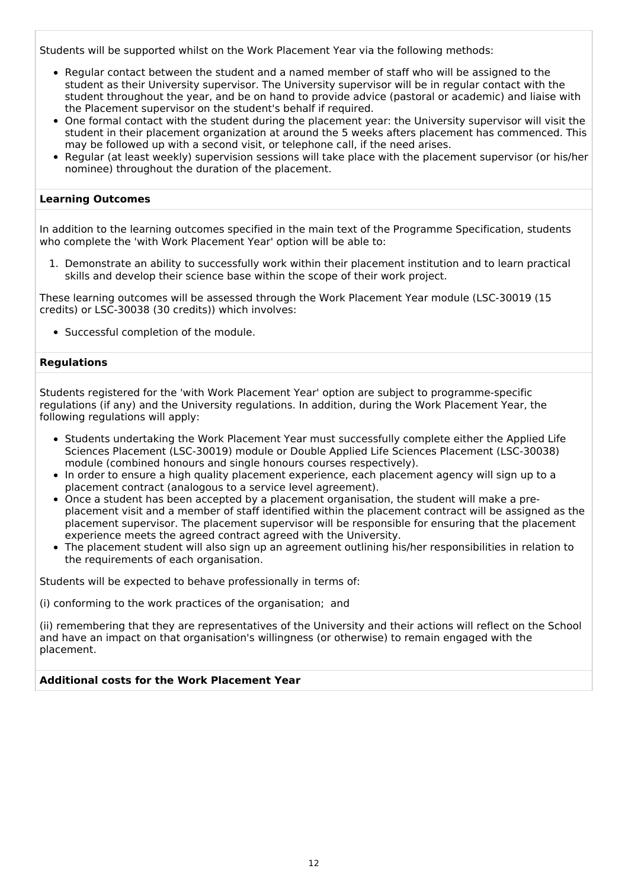Students will be supported whilst on the Work Placement Year via the following methods:

- Regular contact between the student and a named member of staff who will be assigned to the student as their University supervisor. The University supervisor will be in regular contact with the student throughout the year, and be on hand to provide advice (pastoral or academic) and liaise with the Placement supervisor on the student's behalf if required.
- One formal contact with the student during the placement year: the University supervisor will visit the student in their placement organization at around the 5 weeks afters placement has commenced. This may be followed up with a second visit, or telephone call, if the need arises.
- Regular (at least weekly) supervision sessions will take place with the placement supervisor (or his/her nominee) throughout the duration of the placement.

#### **Learning Outcomes**

In addition to the learning outcomes specified in the main text of the Programme Specification, students who complete the 'with Work Placement Year' option will be able to:

1. Demonstrate an ability to successfully work within their placement institution and to learn practical skills and develop their science base within the scope of their work project.

These learning outcomes will be assessed through the Work Placement Year module (LSC-30019 (15 credits) or LSC-30038 (30 credits)) which involves:

• Successful completion of the module.

#### **Regulations**

Students registered for the 'with Work Placement Year' option are subject to programme-specific regulations (if any) and the University regulations. In addition, during the Work Placement Year, the following regulations will apply:

- Students undertaking the Work Placement Year must successfully complete either the Applied Life Sciences Placement (LSC-30019) module or Double Applied Life Sciences Placement (LSC-30038) module (combined honours and single honours courses respectively).
- In order to ensure a high quality placement experience, each placement agency will sign up to a placement contract (analogous to a service level agreement).
- Once a student has been accepted by a placement organisation, the student will make a preplacement visit and a member of staff identified within the placement contract will be assigned as the placement supervisor. The placement supervisor will be responsible for ensuring that the placement experience meets the agreed contract agreed with the University.
- The placement student will also sign up an agreement outlining his/her responsibilities in relation to the requirements of each organisation.

Students will be expected to behave professionally in terms of:

(i) conforming to the work practices of the organisation; and

(ii) remembering that they are representatives of the University and their actions will reflect on the School and have an impact on that organisation's willingness (or otherwise) to remain engaged with the placement.

#### **Additional costs for the Work Placement Year**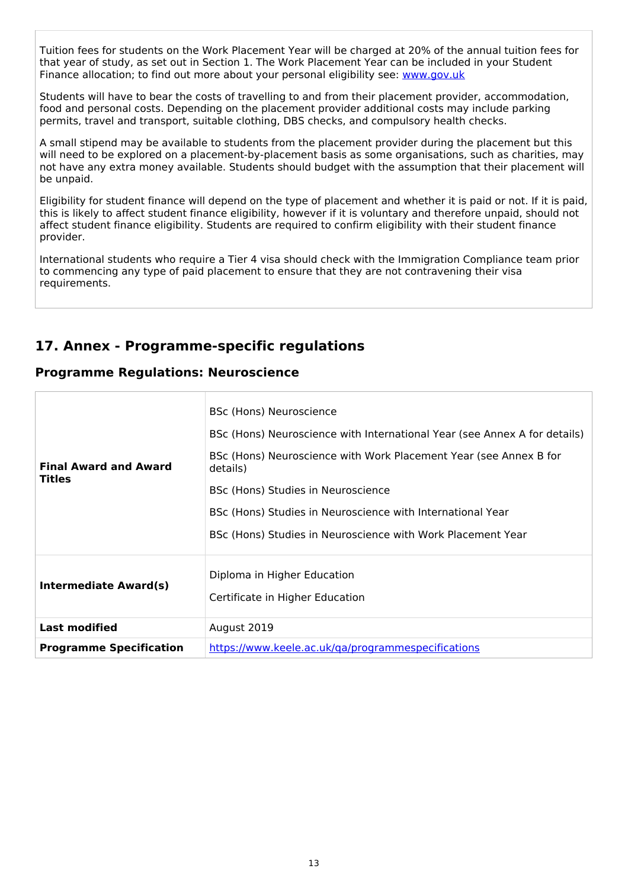Tuition fees for students on the Work Placement Year will be charged at 20% of the annual tuition fees for that year of study, as set out in Section 1. The Work Placement Year can be included in your Student Finance allocation; to find out more about your personal eligibility see: [www.gov.uk](http://www.gov.uk/)

Students will have to bear the costs of travelling to and from their placement provider, accommodation, food and personal costs. Depending on the placement provider additional costs may include parking permits, travel and transport, suitable clothing, DBS checks, and compulsory health checks.

A small stipend may be available to students from the placement provider during the placement but this will need to be explored on a placement-by-placement basis as some organisations, such as charities, may not have any extra money available. Students should budget with the assumption that their placement will be unpaid.

Eligibility for student finance will depend on the type of placement and whether it is paid or not. If it is paid, this is likely to affect student finance eligibility, however if it is voluntary and therefore unpaid, should not affect student finance eligibility. Students are required to confirm eligibility with their student finance provider.

International students who require a Tier 4 visa should check with the Immigration Compliance team prior to commencing any type of paid placement to ensure that they are not contravening their visa requirements.

## **17. Annex - Programme-specific regulations**

### **Programme Regulations: Neuroscience**

| <b>Final Award and Award</b><br><b>Titles</b> | BSc (Hons) Neuroscience<br>BSc (Hons) Neuroscience with International Year (see Annex A for details)<br>BSc (Hons) Neuroscience with Work Placement Year (see Annex B for<br>details)<br>BSc (Hons) Studies in Neuroscience<br>BSc (Hons) Studies in Neuroscience with International Year<br>BSc (Hons) Studies in Neuroscience with Work Placement Year |  |
|-----------------------------------------------|----------------------------------------------------------------------------------------------------------------------------------------------------------------------------------------------------------------------------------------------------------------------------------------------------------------------------------------------------------|--|
| <b>Intermediate Award(s)</b>                  | Diploma in Higher Education<br>Certificate in Higher Education                                                                                                                                                                                                                                                                                           |  |
| <b>Last modified</b>                          | August 2019                                                                                                                                                                                                                                                                                                                                              |  |
| <b>Programme Specification</b>                | https://www.keele.ac.uk/ga/programmespecifications                                                                                                                                                                                                                                                                                                       |  |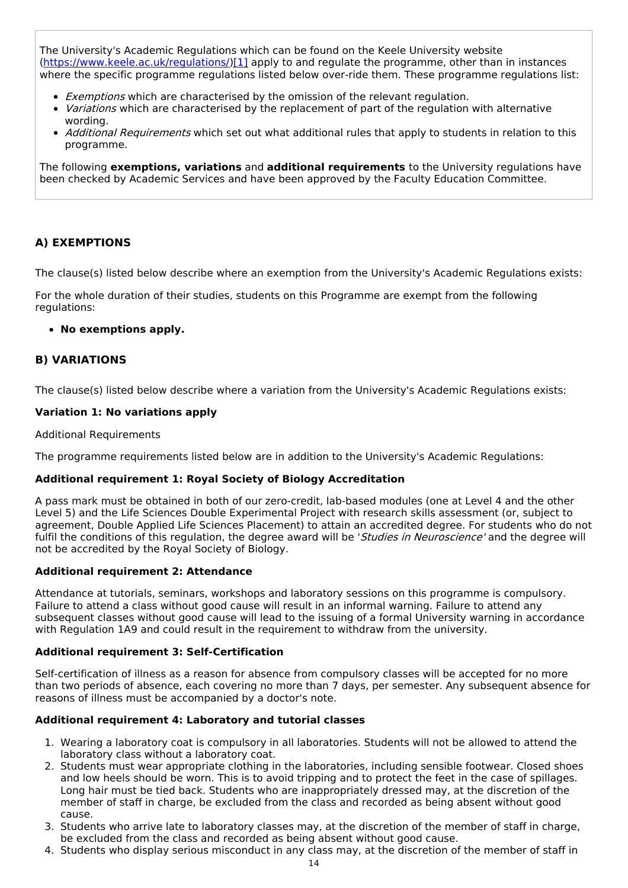The University's Academic Regulations which can be found on the Keele University website [\(https://www.keele.ac.uk/regulations/](https://www.keele.ac.uk/regulations/)[\)\[1\]](https://scims-api.keele.ac.uk/#_ftn1) apply to and regulate the programme, other than in instances where the specific programme regulations listed below over-ride them. These programme regulations list:

- Exemptions which are characterised by the omission of the relevant regulation.
- Variations which are characterised by the replacement of part of the regulation with alternative wording.
- Additional Requirements which set out what additional rules that apply to students in relation to this programme.

The following **exemptions, variations** and **additional requirements** to the University regulations have been checked by Academic Services and have been approved by the Faculty Education Committee.

#### **A) EXEMPTIONS**

The clause(s) listed below describe where an exemption from the University's Academic Regulations exists:

For the whole duration of their studies, students on this Programme are exempt from the following regulations:

#### **No exemptions apply.**

#### **B) VARIATIONS**

The clause(s) listed below describe where a variation from the University's Academic Regulations exists:

#### **Variation 1: No variations apply**

Additional Requirements

The programme requirements listed below are in addition to the University's Academic Regulations:

#### **Additional requirement 1: Royal Society of Biology Accreditation**

A pass mark must be obtained in both of our zero-credit, lab-based modules (one at Level 4 and the other Level 5) and the Life Sciences Double Experimental Project with research skills assessment (or, subject to agreement, Double Applied Life Sciences Placement) to attain an accredited degree. For students who do not fulfil the conditions of this regulation, the degree award will be 'Studies in Neuroscience' and the degree will not be accredited by the Royal Society of Biology.

#### **Additional requirement 2: Attendance**

Attendance at tutorials, seminars, workshops and laboratory sessions on this programme is compulsory. Failure to attend a class without good cause will result in an informal warning. Failure to attend any subsequent classes without good cause will lead to the issuing of a formal University warning in accordance with Regulation 1A9 and could result in the requirement to withdraw from the university.

#### **Additional requirement 3: Self-Certification**

Self-certification of illness as a reason for absence from compulsory classes will be accepted for no more than two periods of absence, each covering no more than 7 days, per semester. Any subsequent absence for reasons of illness must be accompanied by a doctor's note.

#### **Additional requirement 4: Laboratory and tutorial classes**

- 1. Wearing a laboratory coat is compulsory in all laboratories. Students will not be allowed to attend the laboratory class without a laboratory coat.
- 2. Students must wear appropriate clothing in the laboratories, including sensible footwear. Closed shoes and low heels should be worn. This is to avoid tripping and to protect the feet in the case of spillages. Long hair must be tied back. Students who are inappropriately dressed may, at the discretion of the member of staff in charge, be excluded from the class and recorded as being absent without good cause.
- 3. Students who arrive late to laboratory classes may, at the discretion of the member of staff in charge, be excluded from the class and recorded as being absent without good cause.
- 4. Students who display serious misconduct in any class may, at the discretion of the member of staff in